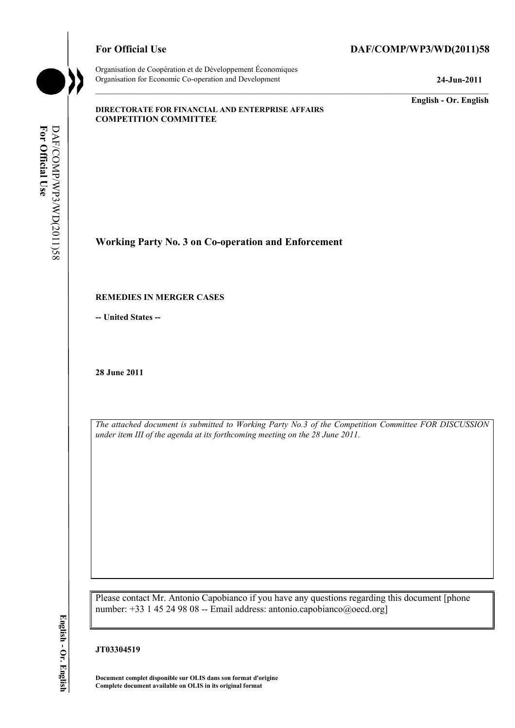# For Official Use DAF/COMP/WP3/WD(2011)58

**English - Or. English** 

#### **DIRECTORATE FOR FINANCIAL AND ENTERPRISE AFFAIRS COMPETITION COMMITTEE**

**Working Party No. 3 on Co-operation and Enforcement** 

#### **REMEDIES IN MERGER CASES**

**-- United States --**

**28 June 2011** 

*The attached document is submitted to Working Party No.3 of the Competition Committee FOR DISCUSSION under item III of the agenda at its forthcoming meeting on the 28 June 2011.* 

Please contact Mr. Antonio Capobianco if you have any questions regarding this document [phone number: +33 1 45 24 98 08 -- Email address: antonio.capobianco@oecd.org]

## **JT03304519**

 **Document complet disponible sur OLIS dans son format d'origine Complete document available on OLIS in its original format**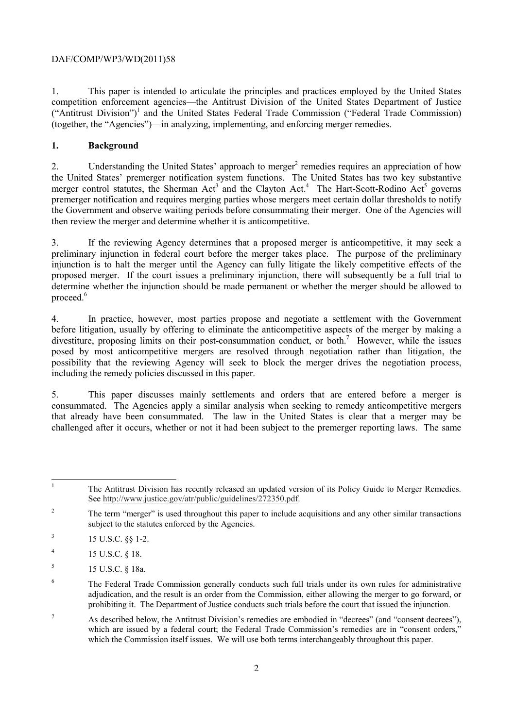1. This paper is intended to articulate the principles and practices employed by the United States competition enforcement agencies—the Antitrust Division of the United States Department of Justice ("Antitrust Division")<sup>1</sup> and the United States Federal Trade Commission ("Federal Trade Commission) (together, the "Agencies")—in analyzing, implementing, and enforcing merger remedies.

# **1. Background**

 the Government and observe waiting periods before consummating their merger. One of the Agencies will 2. Understanding the United States' approach to merger<sup>2</sup> remedies requires an appreciation of how the United States' premerger notification system functions. The United States has two key substantive merger control statutes, the Sherman Act<sup>3</sup> and the Clayton Act.<sup>4</sup> The Hart-Scott-Rodino Act<sup>5</sup> governs premerger notification and requires merging parties whose mergers meet certain dollar thresholds to notify then review the merger and determine whether it is anticompetitive.

 proposed merger. If the court issues a preliminary injunction, there will subsequently be a full trial to proceed.<sup>6</sup> 3. If the reviewing Agency determines that a proposed merger is anticompetitive, it may seek a preliminary injunction in federal court before the merger takes place. The purpose of the preliminary injunction is to halt the merger until the Agency can fully litigate the likely competitive effects of the determine whether the injunction should be made permanent or whether the merger should be allowed to

4. In practice, however, most parties propose and negotiate a settlement with the Government before litigation, usually by offering to eliminate the anticompetitive aspects of the merger by making a divestiture, proposing limits on their post-consummation conduct, or both.<sup>7</sup> However, while the issues posed by most anticompetitive mergers are resolved through negotiation rather than litigation, the possibility that the reviewing Agency will seek to block the merger drives the negotiation process, including the remedy policies discussed in this paper.

5. This paper discusses mainly settlements and orders that are entered before a merger is consummated. The Agencies apply a similar analysis when seeking to remedy anticompetitive mergers that already have been consummated. The law in the United States is clear that a merger may be challenged after it occurs, whether or not it had been subject to the premerger reporting laws. The same

 $\overline{1}$ <sup>1</sup> The Antitrust Division has recently released an updated version of its Policy Guide to Merger Remedies. See http://www.justice.gov/atr/public/guidelines/272350.pdf.

- $3$  15 U.S.C. §§ 1-2.
- $^{4}$  15 U.S.C. § 18.
- $15 \text{ U.S.C. }$ § 18a.
- adjudication, and the result is an order from the Commission, either allowing the merger to go forward, or prohibiting it. The Department of Justice conducts such trials before the court that issued the injunction. <sup>6</sup> The Federal Trade Commission generally conducts such full trials under its own rules for administrative
- $p<sup>7</sup>$  As described below, the Antitrust Division's remedies are embodied in "decrees" (and "consent decrees"), which are issued by a federal court; the Federal Trade Commission's remedies are in "consent orders," which the Commission itself issues. We will use both terms interchangeably throughout this paper.

<sup>&</sup>lt;sup>2</sup> The term "merger" is used throughout this paper to include acquisitions and any other similar transactions subject to the statutes enforced by the Agencies.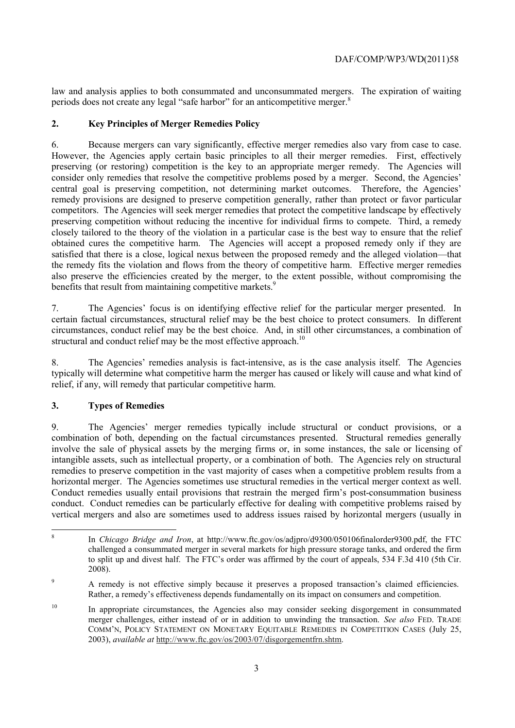periods does not create any legal "safe harbor" for an anticompetitive merger.<sup>8</sup> law and analysis applies to both consummated and unconsummated mergers. The expiration of waiting

# **2. Key Principles of Merger Remedies Policy**

Because mergers can vary significantly, effective merger remedies also vary from case to case. 6. Because mergers can vary significantly, effective merger remedies also vary from case to case. However, the Agencies apply certain basic principles to all their merger remedies. First, effectively preserving (or restoring) competition is the key to an appropriate merger remedy. The Agencies will consider only remedies that resolve the competitive problems posed by a merger. Second, the Agencies' central goal is preserving competition, not determining market outcomes. Therefore, the Agencies' remedy provisions are designed to preserve competition generally, rather than protect or favor particular competitors. The Agencies will seek merger remedies that protect the competitive landscape by effectively preserving competition without reducing the incentive for individual firms to compete. Third, a remedy closely tailored to the theory of the violation in a particular case is the best way to ensure that the relief obtained cures the competitive harm. The Agencies will accept a proposed remedy only if they are satisfied that there is a close, logical nexus between the proposed remedy and the alleged violation—that the remedy fits the violation and flows from the theory of competitive harm. Effective merger remedies also preserve the efficiencies created by the merger, to the extent possible, without compromising the benefits that result from maintaining competitive markets.<sup>9</sup>

7. The Agencies' focus is on identifying effective relief for the particular merger presented. In certain factual circumstances, structural relief may be the best choice to protect consumers. In different circumstances, conduct relief may be the best choice. And, in still other circumstances, a combination of structural and conduct relief may be the most effective approach.<sup>10</sup>

8. The Agencies' remedies analysis is fact-intensive, as is the case analysis itself. The Agencies typically will determine what competitive harm the merger has caused or likely will cause and what kind of relief, if any, will remedy that particular competitive harm.

# **3. Types of Remedies**

 $\overline{a}$ 

horizontal merger. The Agencies sometimes use structural remedies in the vertical merger context as well. 9. The Agencies' merger remedies typically include structural or conduct provisions, or a combination of both, depending on the factual circumstances presented. Structural remedies generally involve the sale of physical assets by the merging firms or, in some instances, the sale or licensing of intangible assets, such as intellectual property, or a combination of both. The Agencies rely on structural remedies to preserve competition in the vast majority of cases when a competitive problem results from a Conduct remedies usually entail provisions that restrain the merged firm's post-consummation business conduct. Conduct remedies can be particularly effective for dealing with competitive problems raised by vertical mergers and also are sometimes used to address issues raised by horizontal mergers (usually in

<sup>8</sup> In *Chicago Bridge and Iron*, at http://www.ftc.gov/os/adjpro/d9300/050106finalorder9300.pdf, the FTC challenged a consummated merger in several markets for high pressure storage tanks, and ordered the firm to split up and divest half. The FTC's order was affirmed by the court of appeals, 534 F.3d 410 (5th Cir. 2008).

<sup>&</sup>lt;sup>9</sup> A remedy is not effective simply because it preserves a proposed transaction's claimed efficiencies.<br>Rather, a remedy's effectiveness depends fundamentally on its impact on consumers and competition.

 merger challenges, either instead of or in addition to unwinding the transaction. *See also* FED. TRADE <sup>10</sup> In appropriate circumstances, the Agencies also may consider seeking disgorgement in consummated COMM'N, POLICY STATEMENT ON MONETARY EQUITABLE REMEDIES IN COMPETITION CASES (July 25, 2003), *available at* http://www.ftc.gov/os/2003/07/disgorgementfrn.shtm.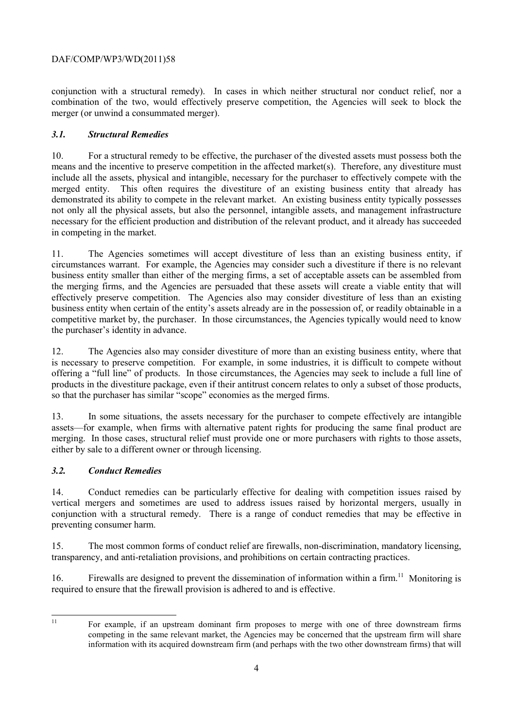conjunction with a structural remedy). In cases in which neither structural nor conduct relief, nor a combination of the two, would effectively preserve competition, the Agencies will seek to block the merger (or unwind a consummated merger).

# *3.1. Structural Remedies*

 demonstrated its ability to compete in the relevant market. An existing business entity typically possesses 10. For a structural remedy to be effective, the purchaser of the divested assets must possess both the means and the incentive to preserve competition in the affected market(s). Therefore, any divestiture must include all the assets, physical and intangible, necessary for the purchaser to effectively compete with the merged entity. This often requires the divestiture of an existing business entity that already has not only all the physical assets, but also the personnel, intangible assets, and management infrastructure necessary for the efficient production and distribution of the relevant product, and it already has succeeded in competing in the market.

11. The Agencies sometimes will accept divestiture of less than an existing business entity, if circumstances warrant. For example, the Agencies may consider such a divestiture if there is no relevant business entity smaller than either of the merging firms, a set of acceptable assets can be assembled from the merging firms, and the Agencies are persuaded that these assets will create a viable entity that will effectively preserve competition. The Agencies also may consider divestiture of less than an existing business entity when certain of the entity's assets already are in the possession of, or readily obtainable in a competitive market by, the purchaser. In those circumstances, the Agencies typically would need to know the purchaser's identity in advance.

12. The Agencies also may consider divestiture of more than an existing business entity, where that is necessary to preserve competition. For example, in some industries, it is difficult to compete without offering a "full line" of products. In those circumstances, the Agencies may seek to include a full line of products in the divestiture package, even if their antitrust concern relates to only a subset of those products, so that the purchaser has similar "scope" economies as the merged firms.

13. In some situations, the assets necessary for the purchaser to compete effectively are intangible assets—for example, when firms with alternative patent rights for producing the same final product are merging. In those cases, structural relief must provide one or more purchasers with rights to those assets, either by sale to a different owner or through licensing.

# *3.2. Conduct Remedies*

14. Conduct remedies can be particularly effective for dealing with competition issues raised by vertical mergers and sometimes are used to address issues raised by horizontal mergers, usually in conjunction with a structural remedy. There is a range of conduct remedies that may be effective in preventing consumer harm.

15. The most common forms of conduct relief are firewalls, non-discrimination, mandatory licensing, transparency, and anti-retaliation provisions, and prohibitions on certain contracting practices.

16. Firewalls are designed to prevent the dissemination of information within a firm.<sup>11</sup> Monitoring is required to ensure that the firewall provision is adhered to and is effective.

 $\overline{a}$ 11

 competing in the same relevant market, the Agencies may be concerned that the upstream firm will share information with its acquired downstream firm (and perhaps with the two other downstream firms) that will For example, if an upstream dominant firm proposes to merge with one of three downstream firms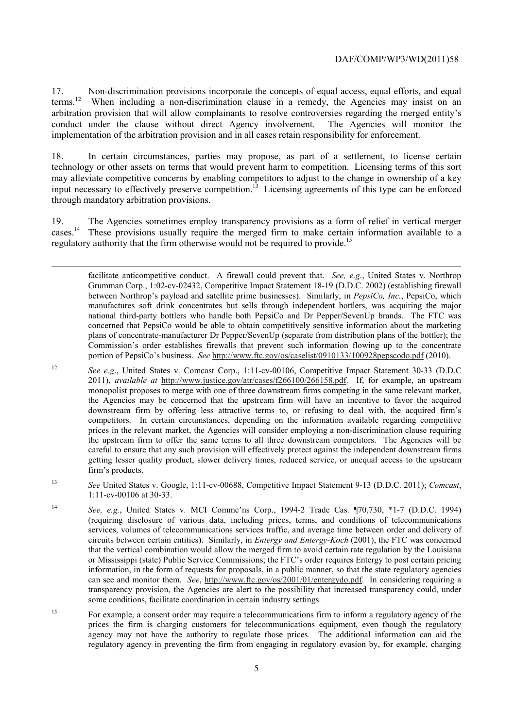17. Non-discrimination provisions incorporate the concepts of equal access, equal efforts, and equal terms.<sup>12</sup> When including a non-discrimination clause in a remedy, the Agencies may insist on an arbitration provision that will allow complainants to resolve controversies regarding the merged entity's conduct under the clause without direct Agency involvement. The Agencies will monitor the implementation of the arbitration provision and in all cases retain responsibility for enforcement.

 may alleviate competitive concerns by enabling competitors to adjust to the change in ownership of a key 18. In certain circumstances, parties may propose, as part of a settlement, to license certain technology or other assets on terms that would prevent harm to competition. Licensing terms of this sort input necessary to effectively preserve competition.13 Licensing agreements of this type can be enforced through mandatory arbitration provisions.

19. The Agencies sometimes employ transparency provisions as a form of relief in vertical merger cases.<sup>14</sup> These provisions usually require the merged firm to make certain information available to a regulatory authority that the firm otherwise would not be required to provide.<sup>15</sup>

-

 facilitate anticompetitive conduct. A firewall could prevent that. *See, e.g.*, United States v. Northrop concerned that PepsiCo would be able to obtain competitively sensitive information about the marketing Commission's order establishes firewalls that prevent such information flowing up to the concentrate portion of PepsiCo's business. *See* http://www.ftc.gov/os/caselist/0910133/100928pepscodo.pdf (2010). Grumman Corp., 1:02-cv-02432, Competitive Impact Statement 18-19 (D.D.C. 2002) (establishing firewall between Northrop's payload and satellite prime businesses). Similarly, in *PepsiCo, Inc.*, PepsiCo, which manufactures soft drink concentrates but sells through independent bottlers, was acquiring the major national third-party bottlers who handle both PepsiCo and Dr Pepper/SevenUp brands. The FTC was plans of concentrate-manufacturer Dr Pepper/SevenUp (separate from distribution plans of the bottler); the

 monopolist proposes to merge with one of three downstream firms competing in the same relevant market, the Agencies may be concerned that the upstream firm will have an incentive to favor the acquired careful to ensure that any such provision will effectively protect against the independent downstream firms firm's products. <sup>12</sup>*See e.g*., United States v. Comcast Corp., 1:11-cv-00106, Competitive Impact Statement 30-33 (D.D.C 2011), *available at* http://www.justice.gov/atr/cases/f266100/266158.pdf. If, for example, an upstream downstream firm by offering less attractive terms to, or refusing to deal with, the acquired firm's competitors. In certain circumstances, depending on the information available regarding competitive prices in the relevant market, the Agencies will consider employing a non-discrimination clause requiring the upstream firm to offer the same terms to all three downstream competitors. The Agencies will be getting lesser quality product, slower delivery times, reduced service, or unequal access to the upstream

<sup>13</sup> *See* United States v. Google, 1:11-cv-00688, Competitive Impact Statement 9-13 (D.D.C. 2011); *Comcast*, 1:11-cv-00106 at 30-33.

<sup>14</sup>*See, e.g.*, United States v. MCI Commc'ns Corp., 1994-2 Trade Cas. ¶70,730, \*1-7 (D.D.C. 1994) (requiring disclosure of various data, including prices, terms, and conditions of telecommunications services, volumes of telecommunications services traffic, and average time between order and delivery of circuits between certain entities). Similarly, in *Entergy and Entergy-Koch* (2001), the FTC was concerned that the vertical combination would allow the merged firm to avoid certain rate regulation by the Louisiana or Mississippi (state) Public Service Commissions; the FTC's order requires Entergy to post certain pricing information, in the form of requests for proposals, in a public manner, so that the state regulatory agencies can see and monitor them. *See*, http://www.ftc.gov/os/2001/01/entergydo.pdf. In considering requiring a transparency provision, the Agencies are alert to the possibility that increased transparency could, under some conditions, facilitate coordination in certain industry settings.

 $15$  regulatory agency in preventing the firm from engaging in regulatory evasion by, for example, charging 15 For example, a consent order may require a telecommunications firm to inform a regulatory agency of the prices the firm is charging customers for telecommunications equipment, even though the regulatory agency may not have the authority to regulate those prices. The additional information can aid the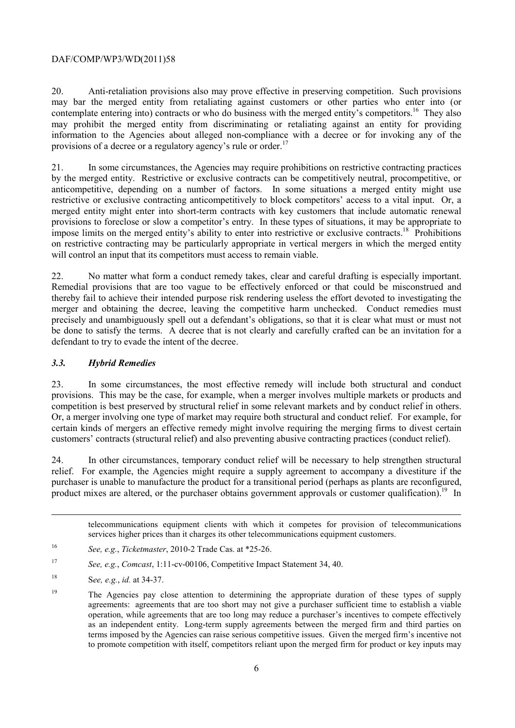contemplate entering into) contracts or who do business with the merged entity's competitors.<sup>16</sup> They also 20. Anti-retaliation provisions also may prove effective in preserving competition. Such provisions may bar the merged entity from retaliating against customers or other parties who enter into (or may prohibit the merged entity from discriminating or retaliating against an entity for providing information to the Agencies about alleged non-compliance with a decree or for invoking any of the provisions of a decree or a regulatory agency's rule or order.<sup>1</sup>

 anticompetitive, depending on a number of factors. In some situations a merged entity might use provisions to foreclose or slow a competitor's entry. In these types of situations, it may be appropriate to 21. In some circumstances, the Agencies may require prohibitions on restrictive contracting practices by the merged entity. Restrictive or exclusive contracts can be competitively neutral, procompetitive, or restrictive or exclusive contracting anticompetitively to block competitors' access to a vital input. Or, a merged entity might enter into short-term contracts with key customers that include automatic renewal impose limits on the merged entity's ability to enter into restrictive or exclusive contracts.<sup>18</sup> Prohibitions on restrictive contracting may be particularly appropriate in vertical mergers in which the merged entity will control an input that its competitors must access to remain viable.

No matter what form a conduct remedy takes, clear and careful drafting is especially important. defendant to try to evade the intent of the decree. 22. No matter what form a conduct remedy takes, clear and careful drafting is especially important. Remedial provisions that are too vague to be effectively enforced or that could be misconstrued and thereby fail to achieve their intended purpose risk rendering useless the effort devoted to investigating the merger and obtaining the decree, leaving the competitive harm unchecked. Conduct remedies must precisely and unambiguously spell out a defendant's obligations, so that it is clear what must or must not be done to satisfy the terms. A decree that is not clearly and carefully crafted can be an invitation for a

# *3.3. Hybrid Remedies*

competition is best preserved by structural relief in some relevant markets and by conduct relief in others. 23. In some circumstances, the most effective remedy will include both structural and conduct provisions. This may be the case, for example, when a merger involves multiple markets or products and Competition is better preserved by structural and conduct relief. The example, for  $\alpha$ , a merger involving one type of market may require both structural and conduct relief. For example, for certain kinds of mergers an effective remedy might involve requiring the merging firms to divest certain customers' contracts (structural relief) and also preventing abusive contracting practices (conduct relief).

product mixes are altered, or the purchaser obtains government approvals or customer qualification).<sup>19</sup> In 24. In other circumstances, temporary conduct relief will be necessary to help strengthen structural relief. For example, the Agencies might require a supply agreement to accompany a divestiture if the purchaser is unable to manufacture the product for a transitional period (perhaps as plants are reconfigured,

telecommunications equipment clients with which it competes for provision of telecommunications services higher prices than it charges its other telecommunications equipment customers.

1

<sup>16</sup> <sup>16</sup>*See, e.g.*, *Ticketmaster*, 2010-2 Trade Cas. at \*25-26.

<sup>17</sup>*See, e.g.*, *Comcast*, 1:11-cv-00106, Competitive Impact Statement 34, 40.

<sup>18</sup> S*ee, e.g.*, *id.* at 34-37.

 $19$  to promote competition with itself, competitors reliant upon the merged firm for product or key inputs may 19 The Agencies pay close attention to determining the appropriate duration of these types of supply agreements: agreements that are too short may not give a purchaser sufficient time to establish a viable operation, while agreements that are too long may reduce a purchaser's incentives to compete effectively as an independent entity. Long-term supply agreements between the merged firm and third parties on terms imposed by the Agencies can raise serious competitive issues. Given the merged firm's incentive not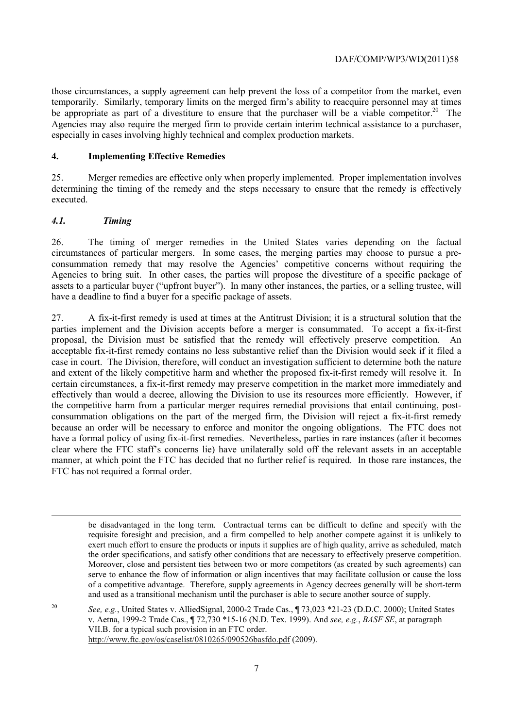those circumstances, a supply agreement can help prevent the loss of a competitor from the market, even temporarily. Similarly, temporary limits on the merged firm's ability to reacquire personnel may at times be appropriate as part of a divestiture to ensure that the purchaser will be a viable competitor.<sup>20</sup> The Agencies may also require the merged firm to provide certain interim technical assistance to a purchaser, especially in cases involving highly technical and complex production markets.

#### **4. Implementing Effective Remedies**

25. Merger remedies are effective only when properly implemented. Proper implementation involves determining the timing of the remedy and the steps necessary to ensure that the remedy is effectively executed.

## *4.1. Timing*

-

26. The timing of merger remedies in the United States varies depending on the factual circumstances of particular mergers. In some cases, the merging parties may choose to pursue a preconsummation remedy that may resolve the Agencies' competitive concerns without requiring the Agencies to bring suit. In other cases, the parties will propose the divestiture of a specific package of assets to a particular buyer ("upfront buyer"). In many other instances, the parties, or a selling trustee, will have a deadline to find a buyer for a specific package of assets.

 acceptable fix-it-first remedy contains no less substantive relief than the Division would seek if it filed a 27. A fix-it-first remedy is used at times at the Antitrust Division; it is a structural solution that the parties implement and the Division accepts before a merger is consummated. To accept a fix-it-first proposal, the Division must be satisfied that the remedy will effectively preserve competition. An case in court. The Division, therefore, will conduct an investigation sufficient to determine both the nature and extent of the likely competitive harm and whether the proposed fix-it-first remedy will resolve it. In certain circumstances, a fix-it-first remedy may preserve competition in the market more immediately and effectively than would a decree, allowing the Division to use its resources more efficiently. However, if the competitive harm from a particular merger requires remedial provisions that entail continuing, postconsummation obligations on the part of the merged firm, the Division will reject a fix-it-first remedy because an order will be necessary to enforce and monitor the ongoing obligations. The FTC does not have a formal policy of using fix-it-first remedies. Nevertheless, parties in rare instances (after it becomes clear where the FTC staff's concerns lie) have unilaterally sold off the relevant assets in an acceptable manner, at which point the FTC has decided that no further relief is required. In those rare instances, the FTC has not required a formal order.

 be disadvantaged in the long term. Contractual terms can be difficult to define and specify with the the order specifications, and satisfy other conditions that are necessary to effectively preserve competition. of a competitive advantage. Therefore, supply agreements in Agency decrees generally will be short-term and used as a transitional mechanism until the purchaser is able to secure another source of supply. requisite foresight and precision, and a firm compelled to help another compete against it is unlikely to exert much effort to ensure the products or inputs it supplies are of high quality, arrive as scheduled, match Moreover, close and persistent ties between two or more competitors (as created by such agreements) can serve to enhance the flow of information or align incentives that may facilitate collusion or cause the loss

 20 http://www.ftc.gov/os/caselist/0810265/090526basfdo.pdf (2009).<br>7 *See, e.g.*, United States v. AlliedSignal, 2000-2 Trade Cas., ¶ 73,023 \*21-23 (D.D.C. 2000); United States v. Aetna, 1999-2 Trade Cas., ¶ 72,730 \*15-16 (N.D. Tex. 1999). And *see, e.g.*, *BASF SE*, at paragraph VII.B. for a typical such provision in an FTC order.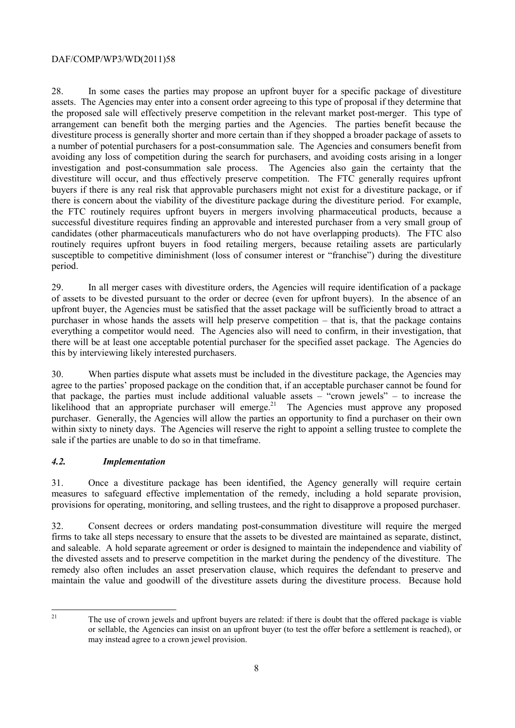the proposed sale will effectively preserve competition in the relevant market post-merger. This type of arrangement can benefit both the merging parties and the Agencies. The parties benefit because the 28. In some cases the parties may propose an upfront buyer for a specific package of divestiture assets. The Agencies may enter into a consent order agreeing to this type of proposal if they determine that divestiture process is generally shorter and more certain than if they shopped a broader package of assets to a number of potential purchasers for a post-consummation sale. The Agencies and consumers benefit from avoiding any loss of competition during the search for purchasers, and avoiding costs arising in a longer investigation and post-consummation sale process. The Agencies also gain the certainty that the divestiture will occur, and thus effectively preserve competition. The FTC generally requires upfront buyers if there is any real risk that approvable purchasers might not exist for a divestiture package, or if there is concern about the viability of the divestiture package during the divestiture period. For example, the FTC routinely requires upfront buyers in mergers involving pharmaceutical products, because a successful divestiture requires finding an approvable and interested purchaser from a very small group of candidates (other pharmaceuticals manufacturers who do not have overlapping products). The FTC also routinely requires upfront buyers in food retailing mergers, because retailing assets are particularly susceptible to competitive diminishment (loss of consumer interest or "franchise") during the divestiture period.

29. In all merger cases with divestiture orders, the Agencies will require identification of a package of assets to be divested pursuant to the order or decree (even for upfront buyers). In the absence of an upfront buyer, the Agencies must be satisfied that the asset package will be sufficiently broad to attract a purchaser in whose hands the assets will help preserve competition – that is, that the package contains everything a competitor would need. The Agencies also will need to confirm, in their investigation, that there will be at least one acceptable potential purchaser for the specified asset package. The Agencies do this by interviewing likely interested purchasers.

likelihood that an appropriate purchaser will emerge.<sup>21</sup> The Agencies must approve any proposed 30. When parties dispute what assets must be included in the divestiture package, the Agencies may agree to the parties' proposed package on the condition that, if an acceptable purchaser cannot be found for that package, the parties must include additional valuable assets – "crown jewels" – to increase the purchaser. Generally, the Agencies will allow the parties an opportunity to find a purchaser on their own within sixty to ninety days. The Agencies will reserve the right to appoint a selling trustee to complete the sale if the parties are unable to do so in that timeframe.

# *4.2. Implementation*

31. Once a divestiture package has been identified, the Agency generally will require certain measures to safeguard effective implementation of the remedy, including a hold separate provision, provisions for operating, monitoring, and selling trustees, and the right to disapprove a proposed purchaser.

32. Consent decrees or orders mandating post-consummation divestiture will require the merged firms to take all steps necessary to ensure that the assets to be divested are maintained as separate, distinct, and saleable. A hold separate agreement or order is designed to maintain the independence and viability of the divested assets and to preserve competition in the market during the pendency of the divestiture. The remedy also often includes an asset preservation clause, which requires the defendant to preserve and maintain the value and goodwill of the divestiture assets during the divestiture process. Because hold

 $\overline{a}$ 21

The use of crown jewels and upfront buyers are related: if there is doubt that the offered package is viable or sellable, the Agencies can insist on an upfront buyer (to test the offer before a settlement is reached), or may instead agree to a crown jewel provision.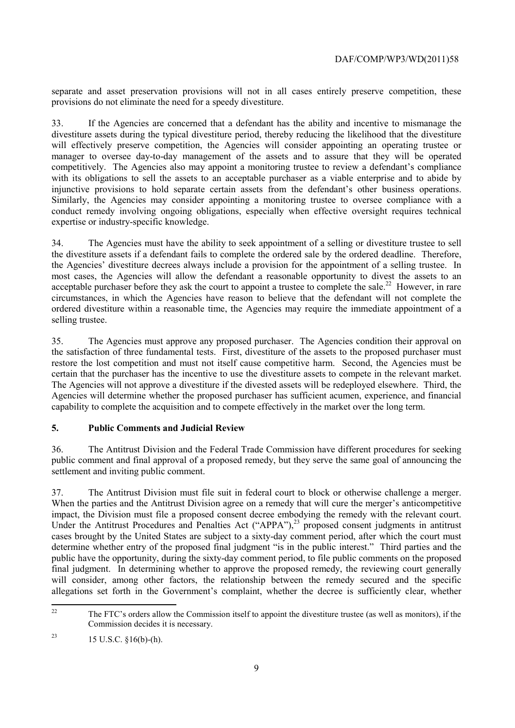separate and asset preservation provisions will not in all cases entirely preserve competition, these provisions do not eliminate the need for a speedy divestiture.

injunctive provisions to hold separate certain assets from the defendant's other business operations. conduct remedy involving ongoing obligations, especially when effective oversight requires technical 33. If the Agencies are concerned that a defendant has the ability and incentive to mismanage the divestiture assets during the typical divestiture period, thereby reducing the likelihood that the divestiture will effectively preserve competition, the Agencies will consider appointing an operating trustee or manager to oversee day-to-day management of the assets and to assure that they will be operated competitively. The Agencies also may appoint a monitoring trustee to review a defendant's compliance with its obligations to sell the assets to an acceptable purchaser as a viable enterprise and to abide by Similarly, the Agencies may consider appointing a monitoring trustee to oversee compliance with a expertise or industry-specific knowledge.

34. The Agencies must have the ability to seek appointment of a selling or divestiture trustee to sell the divestiture assets if a defendant fails to complete the ordered sale by the ordered deadline. Therefore, the Agencies' divestiture decrees always include a provision for the appointment of a selling trustee. In most cases, the Agencies will allow the defendant a reasonable opportunity to divest the assets to an acceptable purchaser before they ask the court to appoint a trustee to complete the sale.<sup>22</sup> However, in rare circumstances, in which the Agencies have reason to believe that the defendant will not complete the ordered divestiture within a reasonable time, the Agencies may require the immediate appointment of a selling trustee.

certain that the purchaser has the incentive to use the divestiture assets to compete in the relevant market. 35. The Agencies must approve any proposed purchaser. The Agencies condition their approval on the satisfaction of three fundamental tests. First, divestiture of the assets to the proposed purchaser must restore the lost competition and must not itself cause competitive harm. Second, the Agencies must be The Agencies will not approve a divestiture if the divested assets will be redeployed elsewhere. Third, the Agencies will determine whether the proposed purchaser has sufficient acumen, experience, and financial capability to complete the acquisition and to compete effectively in the market over the long term.

# **5. Public Comments and Judicial Review**

36. The Antitrust Division and the Federal Trade Commission have different procedures for seeking public comment and final approval of a proposed remedy, but they serve the same goal of announcing the settlement and inviting public comment.

 impact, the Division must file a proposed consent decree embodying the remedy with the relevant court. 37. The Antitrust Division must file suit in federal court to block or otherwise challenge a merger. When the parties and the Antitrust Division agree on a remedy that will cure the merger's anticompetitive Under the Antitrust Procedures and Penalties Act ("APPA"), $^{23}$  proposed consent judgments in antitrust cases brought by the United States are subject to a sixty-day comment period, after which the court must determine whether entry of the proposed final judgment "is in the public interest." Third parties and the public have the opportunity, during the sixty-day comment period, to file public comments on the proposed final judgment. In determining whether to approve the proposed remedy, the reviewing court generally will consider, among other factors, the relationship between the remedy secured and the specific allegations set forth in the Government's complaint, whether the decree is sufficiently clear, whether

 $\overline{a}$ 22 The FTC's orders allow the Commission itself to appoint the divestiture trustee (as well as monitors), if the Commission decides it is necessary.

<sup>&</sup>lt;sup>23</sup> 15 U.S.C.  $$16(b)-(h)$ .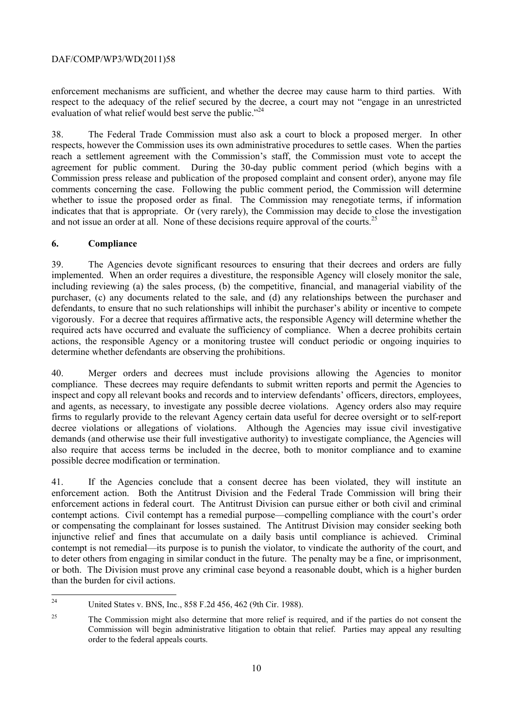enforcement mechanisms are sufficient, and whether the decree may cause harm to third parties. With respect to the adequacy of the relief secured by the decree, a court may not "engage in an unrestricted evaluation of what relief would best serve the public."<sup>24</sup>

38. The Federal Trade Commission must also ask a court to block a proposed merger. In other respects, however the Commission uses its own administrative procedures to settle cases. When the parties reach a settlement agreement with the Commission's staff, the Commission must vote to accept the agreement for public comment. During the 30-day public comment period (which begins with a Commission press release and publication of the proposed complaint and consent order), anyone may file comments concerning the case. Following the public comment period, the Commission will determine whether to issue the proposed order as final. The Commission may renegotiate terms, if information indicates that that is appropriate. Or (very rarely), the Commission may decide to close the investigation and not issue an order at all. None of these decisions require approval of the courts.<sup>25</sup>

## **6. Compliance**

 39. The Agencies devote significant resources to ensuring that their decrees and orders are fully implemented. When an order requires a divestiture, the responsible Agency will closely monitor the sale, including reviewing (a) the sales process, (b) the competitive, financial, and managerial viability of the purchaser, (c) any documents related to the sale, and (d) any relationships between the purchaser and defendants, to ensure that no such relationships will inhibit the purchaser's ability or incentive to compete vigorously. For a decree that requires affirmative acts, the responsible Agency will determine whether the required acts have occurred and evaluate the sufficiency of compliance. When a decree prohibits certain actions, the responsible Agency or a monitoring trustee will conduct periodic or ongoing inquiries to determine whether defendants are observing the prohibitions.

 compliance. These decrees may require defendants to submit written reports and permit the Agencies to 40. Merger orders and decrees must include provisions allowing the Agencies to monitor inspect and copy all relevant books and records and to interview defendants' officers, directors, employees, and agents, as necessary, to investigate any possible decree violations. Agency orders also may require firms to regularly provide to the relevant Agency certain data useful for decree oversight or to self-report decree violations or allegations of violations. Although the Agencies may issue civil investigative demands (and otherwise use their full investigative authority) to investigate compliance, the Agencies will also require that access terms be included in the decree, both to monitor compliance and to examine possible decree modification or termination.

41. If the Agencies conclude that a consent decree has been violated, they will institute an enforcement action. Both the Antitrust Division and the Federal Trade Commission will bring their enforcement actions in federal court. The Antitrust Division can pursue either or both civil and criminal contempt actions. Civil contempt has a remedial purpose—compelling compliance with the court's order or compensating the complainant for losses sustained. The Antitrust Division may consider seeking both injunctive relief and fines that accumulate on a daily basis until compliance is achieved. Criminal contempt is not remedial—its purpose is to punish the violator, to vindicate the authority of the court, and to deter others from engaging in similar conduct in the future. The penalty may be a fine, or imprisonment, or both. The Division must prove any criminal case beyond a reasonable doubt, which is a higher burden than the burden for civil actions.

 $\overline{a}$ 24 United States v. BNS, Inc., 858 F.2d 456, 462 (9th Cir. 1988).

<sup>&</sup>lt;sup>25</sup> The Commission might also determine that more relief is required, and if the parties do not consent the Commission will begin administrative litigation to obtain that relief. Parties may appeal any resulting order to the federal appeals courts.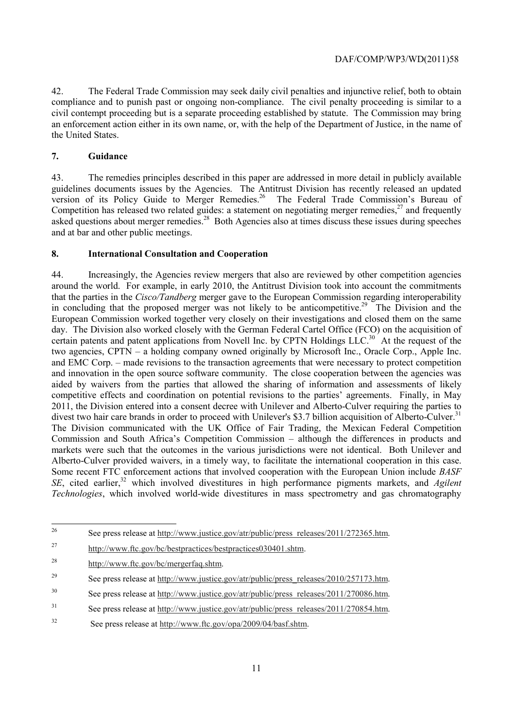42. The Federal Trade Commission may seek daily civil penalties and injunctive relief, both to obtain compliance and to punish past or ongoing non-compliance. The civil penalty proceeding is similar to a civil contempt proceeding but is a separate proceeding established by statute. The Commission may bring an enforcement action either in its own name, or, with the help of the Department of Justice, in the name of the United States.

#### **7. Guidance**

43. The remedies principles described in this paper are addressed in more detail in publicly available guidelines documents issues by the Agencies. The Antitrust Division has recently released an updated version of its Policy Guide to Merger Remedies.<sup>26</sup> The Federal Trade Commission's Bureau of Competition has released two related guides: a statement on negotiating merger remedies, $^{27}$  and frequently asked questions about merger remedies.28 Both Agencies also at times discuss these issues during speeches and at bar and other public meetings.

#### **8. International Consultation and Cooperation**

divest two hair care brands in order to proceed with Unilever's \$3.7 billion acquisition of Alberto-Culver.<sup>31</sup> markets were such that the outcomes in the various jurisdictions were not identical. Both Unilever and Alberto-Culver provided waivers, in a timely way, to facilitate the international cooperation in this case. Alberto-Culver provided waivers, in a timely way, to facilitate the international cooperation in this case. Some recent FTC enforcement actions that involved cooperation with the European Union include *BASF*  44. Increasingly, the Agencies review mergers that also are reviewed by other competition agencies around the world. For example, in early 2010, the Antitrust Division took into account the commitments that the parties in the *Cisco/Tandberg* merger gave to the European Commission regarding interoperability in concluding that the proposed merger was not likely to be anticompetitive.<sup>29</sup> The Division and the European Commission worked together very closely on their investigations and closed them on the same day. The Division also worked closely with the German Federal Cartel Office (FCO) on the acquisition of certain patents and patent applications from Novell Inc. by CPTN Holdings LLC.<sup>30</sup> At the request of the two agencies, CPTN – a holding company owned originally by Microsoft Inc., Oracle Corp., Apple Inc. and EMC Corp. – made revisions to the transaction agreements that were necessary to protect competition and innovation in the open source software community. The close cooperation between the agencies was aided by waivers from the parties that allowed the sharing of information and assessments of likely competitive effects and coordination on potential revisions to the parties' agreements. Finally, in May 2011, the Division entered into a consent decree with Unilever and Alberto-Culver requiring the parties to The Division communicated with the UK Office of Fair Trading, the Mexican Federal Competition Commission and South Africa's Competition Commission – although the differences in products and *SE*, cited earlier,<sup>32</sup> which involved divestitures in high performance pigments markets, and *Agilent Technologies*, which involved world-wide divestitures in mass spectrometry and gas chromatography

 $26$ See press release at http://www.justice.gov/atr/public/press\_releases/2011/272365.htm.

 $27$ http://www.ftc.gov/bc/bestpractices/bestpractices030401.shtm.

<sup>28</sup> 28 http://www.ftc.gov/bc/mergerfaq.shtm.

<sup>&</sup>lt;sup>29</sup> See press release at http://www.justice.gov/atr/public/press\_releases/2010/257173.htm.

 $30$ See press release at http://www.justice.gov/atr/public/press\_releases/2011/270086.htm.

<sup>31</sup> See press release at http://www.justice.gov/atr/public/press\_releases/2011/270854.htm.

 $32$ See press release at http://www.ftc.gov/opa/2009/04/basf.shtm.